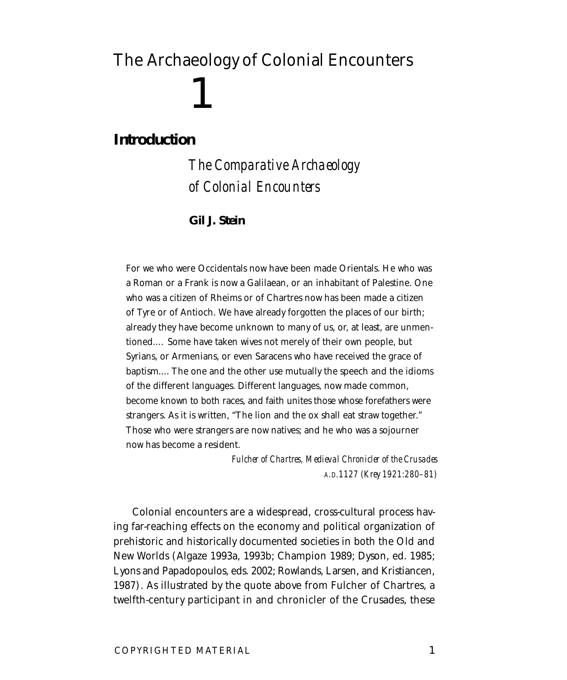# The Archaeology of Colonial Encounters 1

## **Introduction**

*The Comparative Archaeology of Colonial Encounters*

### **Gil J. Stein**

For we who were Occidentals now have been made Orientals. He who was a Roman or a Frank is now a Galilaean, or an inhabitant of Palestine. One who was a citizen of Rheims or of Chartres now has been made a citizen of Tyre or of Antioch. We have already forgotten the places of our birth; already they have become unknown to many of us, or, at least, are unmentioned.… Some have taken wives not merely of their own people, but Syrians, or Armenians, or even Saracens who have received the grace of baptism.…The one and the other use mutually the speech and the idioms of the different languages. Different languages, now made common, become known to both races, and faith unites those whose forefathers were strangers. As it is written, "The lion and the ox shall eat straw together." Those who were strangers are now natives; and he who was a sojourner now has become a resident.

> *Fulcher of Chartres, Medieval Chronicler of the Crusades A.D.1127 (Krey 1921:280–81)*

Colonial encounters are a widespread, cross-cultural process having far-reaching effects on the economy and political organization of prehistoric and historically documented societies in both the Old and New Worlds (Algaze 1993a, 1993b; Champion 1989; Dyson, ed. 1985; Lyons and Papadopoulos, eds. 2002; Rowlands, Larsen, and Kristiancen, 1987). As illustrated by the quote above from Fulcher of Chartres, a twelfth-century participant in and chronicler of the Crusades, these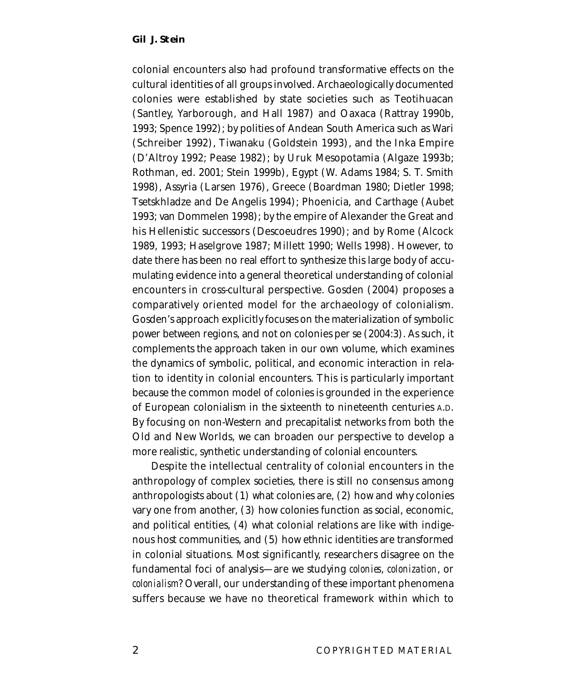colonial encounters also had profound transformative effects on the cultural identities of all groups involved. Archaeologically documented colonies were established by state societies such as Teotihuacan (Santley, Yarborough, and Hall 1987) and Oaxaca (Rattray 1990b, 1993; Spence 1992); by polities of Andean South America such as Wari (Schreiber 1992), Tiwanaku (Goldstein 1993), and the Inka Empire (D'Altroy 1992; Pease 1982); by Uruk Mesopotamia (Algaze 1993b; Rothman, ed. 2001; Stein 1999b), Egypt (W. Adams 1984; S. T. Smith 1998), Assyria (Larsen 1976), Greece (Boardman 1980; Dietler 1998; Tsetskhladze and De Angelis 1994); Phoenicia, and Carthage (Aubet 1993; van Dommelen 1998); by the empire of Alexander the Great and his Hellenistic successors (Descoeudres 1990); and by Rome (Alcock 1989, 1993; Haselgrove 1987; Millett 1990; Wells 1998). However, to date there has been no real effort to synthesize this large body of accumulating evidence into a general theoretical understanding of colonial encounters in cross-cultural perspective. Gosden (2004) proposes a comparatively oriented model for the archaeology of colonialism. Gosden's approach explicitly focuses on the materialization of symbolic power between regions, and not on colonies per se (2004:3). As such, it complements the approach taken in our own volume, which examines the dynamics of symbolic, political, and economic interaction in relation to identity in colonial encounters. This is particularly important because the common model of colonies is grounded in the experience of European colonialism in the sixteenth to nineteenth centuries A.D. By focusing on non-Western and precapitalist networks from both the Old and New Worlds, we can broaden our perspective to develop a more realistic, synthetic understanding of colonial encounters.

Despite the intellectual centrality of colonial encounters in the anthropology of complex societies, there is still no consensus among anthropologists about (1) what colonies are, (2) how and why colonies vary one from another, (3) how colonies function as social, economic, and political entities, (4) what colonial relations are like with indigenous host communities, and (5) how ethnic identities are transformed in colonial situations. Most significantly, researchers disagree on the fundamental foci of analysis—are we studying *colonies*, *colonization*, or *colonialism*? Overall, our understanding of these important phenomena suffers because we have no theoretical framework within which to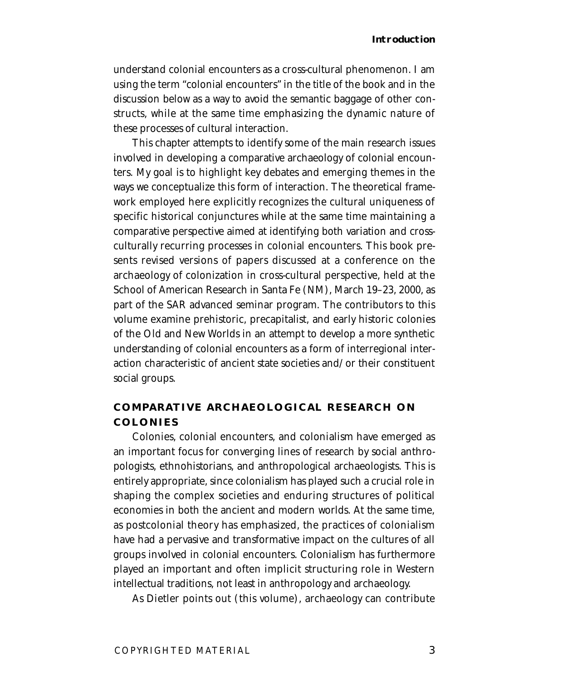understand colonial encounters as a cross-cultural phenomenon. I am using the term "colonial encounters" in the title of the book and in the discussion below as a way to avoid the semantic baggage of other constructs, while at the same time emphasizing the dynamic nature of these processes of cultural interaction.

This chapter attempts to identify some of the main research issues involved in developing a comparative archaeology of colonial encounters. My goal is to highlight key debates and emerging themes in the ways we conceptualize this form of interaction. The theoretical framework employed here explicitly recognizes the cultural uniqueness of specific historical conjunctures while at the same time maintaining a comparative perspective aimed at identifying both variation and crossculturally recurring processes in colonial encounters. This book presents revised versions of papers discussed at a conference on the archaeology of colonization in cross-cultural perspective, held at the School of American Research in Santa Fe (NM), March 19–23, 2000, as part of the SAR advanced seminar program. The contributors to this volume examine prehistoric, precapitalist, and early historic colonies of the Old and New Worlds in an attempt to develop a more synthetic understanding of colonial encounters as a form of interregional interaction characteristic of ancient state societies and/or their constituent social groups.

## **COMPARATIVE ARCHAEOLOGICAL RESEARCH ON COLONIES**

Colonies, colonial encounters, and colonialism have emerged as an important focus for converging lines of research by social anthropologists, ethnohistorians, and anthropological archaeologists. This is entirely appropriate, since colonialism has played such a crucial role in shaping the complex societies and enduring structures of political economies in both the ancient and modern worlds. At the same time, as postcolonial theory has emphasized, the practices of colonialism have had a pervasive and transformative impact on the cultures of all groups involved in colonial encounters. Colonialism has furthermore played an important and often implicit structuring role in Western intellectual traditions, not least in anthropology and archaeology.

As Dietler points out (this volume), archaeology can contribute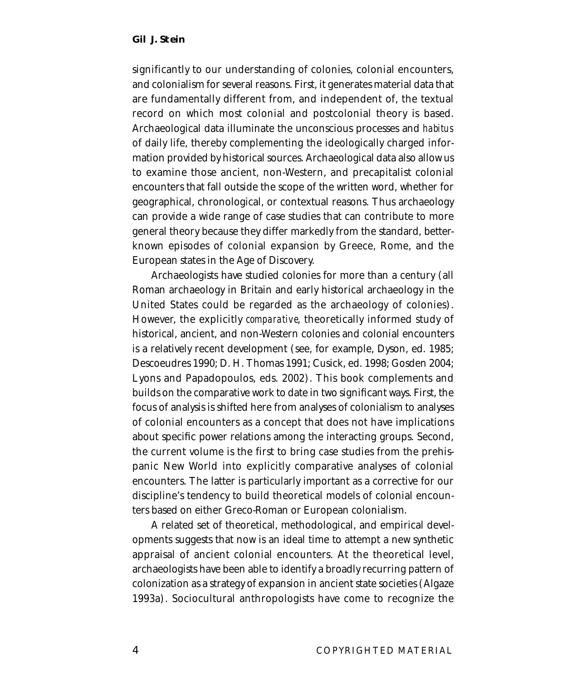significantly to our understanding of colonies, colonial encounters, and colonialism for several reasons. First, it generates material data that are fundamentally different from, and independent of, the textual record on which most colonial and postcolonial theory is based. Archaeological data illuminate the unconscious processes and *habitus* of daily life, thereby complementing the ideologically charged information provided by historical sources. Archaeological data also allow us to examine those ancient, non-Western, and precapitalist colonial encounters that fall outside the scope of the written word, whether for geographical, chronological, or contextual reasons. Thus archaeology can provide a wide range of case studies that can contribute to more general theory because they differ markedly from the standard, betterknown episodes of colonial expansion by Greece, Rome, and the European states in the Age of Discovery.

Archaeologists have studied colonies for more than a century (all Roman archaeology in Britain and early historical archaeology in the United States could be regarded as the archaeology of colonies). However, the explicitly *comparative*, theoretically informed study of historical, ancient, and non-Western colonies and colonial encounters is a relatively recent development (see, for example, Dyson, ed. 1985; Descoeudres 1990; D. H. Thomas 1991; Cusick, ed. 1998; Gosden 2004; Lyons and Papadopoulos, eds. 2002). This book complements and builds on the comparative work to date in two significant ways. First, the focus of analysis is shifted here from analyses of colonialism to analyses of colonial encounters as a concept that does not have implications about specific power relations among the interacting groups. Second, the current volume is the first to bring case studies from the prehispanic New World into explicitly comparative analyses of colonial encounters. The latter is particularly important as a corrective for our discipline's tendency to build theoretical models of colonial encounters based on either Greco-Roman or European colonialism.

A related set of theoretical, methodological, and empirical developments suggests that now is an ideal time to attempt a new synthetic appraisal of ancient colonial encounters. At the theoretical level, archaeologists have been able to identify a broadly recurring pattern of colonization as a strategy of expansion in ancient state societies (Algaze 1993a). Sociocultural anthropologists have come to recognize the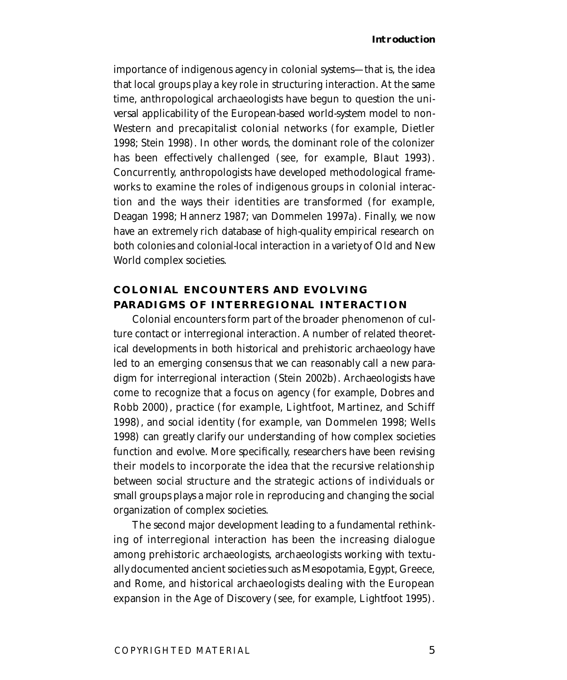importance of indigenous agency in colonial systems—that is, the idea that local groups play a key role in structuring interaction. At the same time, anthropological archaeologists have begun to question the universal applicability of the European-based world-system model to non-Western and precapitalist colonial networks (for example, Dietler 1998; Stein 1998). In other words, the dominant role of the colonizer has been effectively challenged (see, for example, Blaut 1993). Concurrently, anthropologists have developed methodological frameworks to examine the roles of indigenous groups in colonial interaction and the ways their identities are transformed (for example, Deagan 1998; Hannerz 1987; van Dommelen 1997a). Finally, we now have an extremely rich database of high-quality empirical research on both colonies and colonial-local interaction in a variety of Old and New World complex societies.

## **COLONIAL ENCOUNTERS AND EVOLVING PARADIGMS OF INTERREGIONAL INTERACTION**

Colonial encounters form part of the broader phenomenon of culture contact or interregional interaction. A number of related theoretical developments in both historical and prehistoric archaeology have led to an emerging consensus that we can reasonably call a new paradigm for interregional interaction (Stein 2002b). Archaeologists have come to recognize that a focus on agency (for example, Dobres and Robb 2000), practice (for example, Lightfoot, Martinez, and Schiff 1998), and social identity (for example, van Dommelen 1998; Wells 1998) can greatly clarify our understanding of how complex societies function and evolve. More specifically, researchers have been revising their models to incorporate the idea that the recursive relationship between social structure and the strategic actions of individuals or small groups plays a major role in reproducing and changing the social organization of complex societies.

The second major development leading to a fundamental rethinking of interregional interaction has been the increasing dialogue among prehistoric archaeologists, archaeologists working with textually documented ancient societies such as Mesopotamia, Egypt, Greece, and Rome, and historical archaeologists dealing with the European expansion in the Age of Discovery (see, for example, Lightfoot 1995).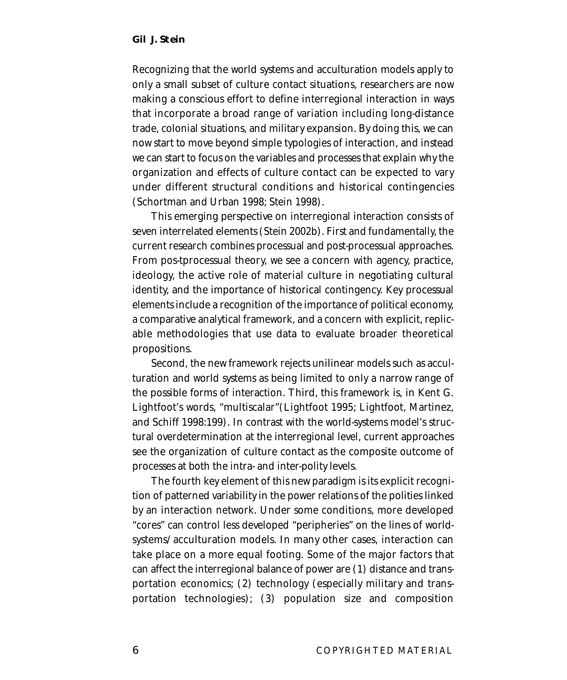Recognizing that the world systems and acculturation models apply to only a small subset of culture contact situations, researchers are now making a conscious effort to define interregional interaction in ways that incorporate a broad range of variation including long-distance trade, colonial situations, and military expansion. By doing this, we can now start to move beyond simple typologies of interaction, and instead we can start to focus on the variables and processes that explain why the organization and effects of culture contact can be expected to vary under different structural conditions and historical contingencies (Schortman and Urban 1998; Stein 1998).

This emerging perspective on interregional interaction consists of seven interrelated elements (Stein 2002b). First and fundamentally, the current research combines processual and post-processual approaches. From pos-tprocessual theory, we see a concern with agency, practice, ideology, the active role of material culture in negotiating cultural identity, and the importance of historical contingency. Key processual elements include a recognition of the importance of political economy, a comparative analytical framework, and a concern with explicit, replicable methodologies that use data to evaluate broader theoretical propositions.

Second, the new framework rejects unilinear models such as acculturation and world systems as being limited to only a narrow range of the possible forms of interaction. Third, this framework is, in Kent G. Lightfoot's words, "multiscalar"(Lightfoot 1995; Lightfoot, Martinez, and Schiff 1998:199). In contrast with the world-systems model's structural overdetermination at the interregional level, current approaches see the organization of culture contact as the composite outcome of processes at both the intra- and inter-polity levels.

The fourth key element of this new paradigm is its explicit recognition of patterned variability in the power relations of the polities linked by an interaction network. Under some conditions, more developed "cores" can control less developed "peripheries" on the lines of worldsystems/acculturation models. In many other cases, interaction can take place on a more equal footing. Some of the major factors that can affect the interregional balance of power are (1) distance and transportation economics; (2) technology (especially military and transportation technologies); (3) population size and composition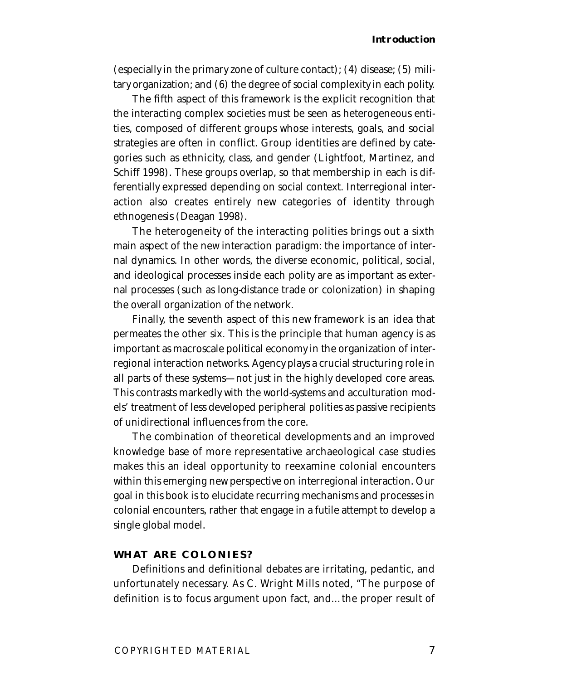(especially in the primary zone of culture contact); (4) disease; (5) military organization; and (6) the degree of social complexity in each polity.

The fifth aspect of this framework is the explicit recognition that the interacting complex societies must be seen as heterogeneous entities, composed of different groups whose interests, goals, and social strategies are often in conflict. Group identities are defined by categories such as ethnicity, class, and gender (Lightfoot, Martinez, and Schiff 1998). These groups overlap, so that membership in each is differentially expressed depending on social context. Interregional interaction also creates entirely new categories of identity through ethnogenesis (Deagan 1998).

The heterogeneity of the interacting polities brings out a sixth main aspect of the new interaction paradigm: the importance of internal dynamics. In other words, the diverse economic, political, social, and ideological processes inside each polity are as important as external processes (such as long-distance trade or colonization) in shaping the overall organization of the network.

Finally, the seventh aspect of this new framework is an idea that permeates the other six. This is the principle that human agency is as important as macroscale political economy in the organization of interregional interaction networks. Agency plays a crucial structuring role in all parts of these systems—not just in the highly developed core areas. This contrasts markedly with the world-systems and acculturation models' treatment of less developed peripheral polities as passive recipients of unidirectional influences from the core.

The combination of theoretical developments and an improved knowledge base of more representative archaeological case studies makes this an ideal opportunity to reexamine colonial encounters within this emerging new perspective on interregional interaction. Our goal in this book is to elucidate recurring mechanisms and processes in colonial encounters, rather that engage in a futile attempt to develop a single global model.

#### **WHAT ARE COLONIES?**

Definitions and definitional debates are irritating, pedantic, and unfortunately necessary. As C. Wright Mills noted, "The purpose of definition is to focus argument upon fact, and…the proper result of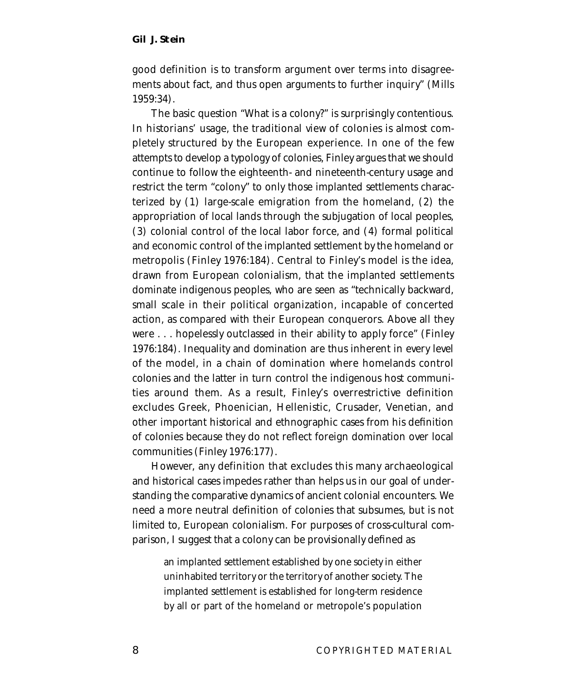good definition is to transform argument over terms into disagreements about fact, and thus open arguments to further inquiry" (Mills 1959:34).

The basic question "What is a colony?" is surprisingly contentious. In historians' usage, the traditional view of colonies is almost completely structured by the European experience. In one of the few attempts to develop a typology of colonies, Finley argues that we should continue to follow the eighteenth- and nineteenth-century usage and restrict the term "colony" to only those implanted settlements characterized by (1) large-scale emigration from the homeland, (2) the appropriation of local lands through the subjugation of local peoples, (3) colonial control of the local labor force, and (4) formal political and economic control of the implanted settlement by the homeland or metropolis (Finley 1976:184). Central to Finley's model is the idea, drawn from European colonialism, that the implanted settlements dominate indigenous peoples, who are seen as "technically backward, small scale in their political organization, incapable of concerted action, as compared with their European conquerors. Above all they were . . . hopelessly outclassed in their ability to apply force" (Finley 1976:184). Inequality and domination are thus inherent in every level of the model, in a chain of domination where homelands control colonies and the latter in turn control the indigenous host communities around them. As a result, Finley's overrestrictive definition excludes Greek, Phoenician, Hellenistic, Crusader, Venetian, and other important historical and ethnographic cases from his definition of colonies because they do not reflect foreign domination over local communities (Finley 1976:177).

However, any definition that excludes this many archaeological and historical cases impedes rather than helps us in our goal of understanding the comparative dynamics of ancient colonial encounters. We need a more neutral definition of colonies that subsumes, but is not limited to, European colonialism. For purposes of cross-cultural comparison, I suggest that a colony can be provisionally defined as

an implanted settlement established by one society in either uninhabited territory or the territory of another society. The implanted settlement is established for long-term residence by all or part of the homeland or metropole's population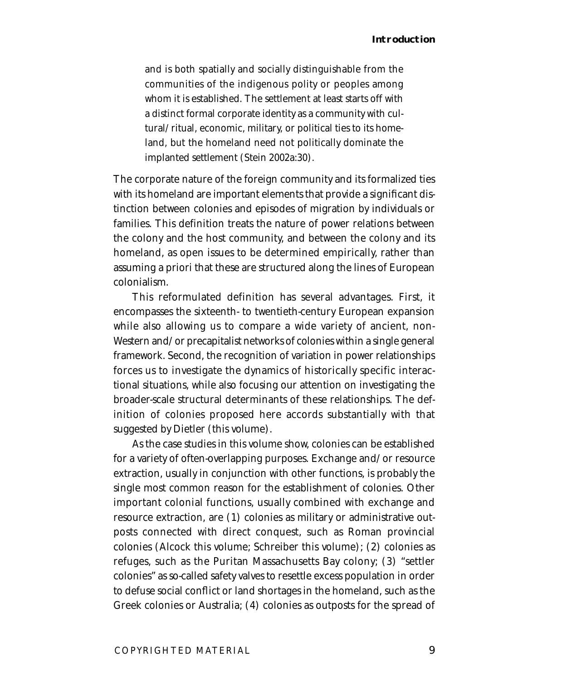and is both spatially and socially distinguishable from the communities of the indigenous polity or peoples among whom it is established. The settlement at least starts off with a distinct formal corporate identity as a community with cultural/ritual, economic, military, or political ties to its homeland, but the homeland need not politically dominate the implanted settlement (Stein 2002a:30).

The corporate nature of the foreign community and its formalized ties with its homeland are important elements that provide a significant distinction between colonies and episodes of migration by individuals or families. This definition treats the nature of power relations between the colony and the host community, and between the colony and its homeland, as open issues to be determined empirically, rather than assuming a priori that these are structured along the lines of European colonialism.

This reformulated definition has several advantages. First, it encompasses the sixteenth- to twentieth-century European expansion while also allowing us to compare a wide variety of ancient, non-Western and/or precapitalist networks of colonies within a single general framework. Second, the recognition of variation in power relationships forces us to investigate the dynamics of historically specific interactional situations, while also focusing our attention on investigating the broader-scale structural determinants of these relationships. The definition of colonies proposed here accords substantially with that suggested by Dietler (this volume).

As the case studies in this volume show, colonies can be established for a variety of often-overlapping purposes. Exchange and/or resource extraction, usually in conjunction with other functions, is probably the single most common reason for the establishment of colonies. Other important colonial functions, usually combined with exchange and resource extraction, are (1) colonies as military or administrative outposts connected with direct conquest, such as Roman provincial colonies (Alcock this volume; Schreiber this volume); (2) colonies as refuges, such as the Puritan Massachusetts Bay colony; (3) "settler colonies" as so-called safety valves to resettle excess population in order to defuse social conflict or land shortages in the homeland, such as the Greek colonies or Australia; (4) colonies as outposts for the spread of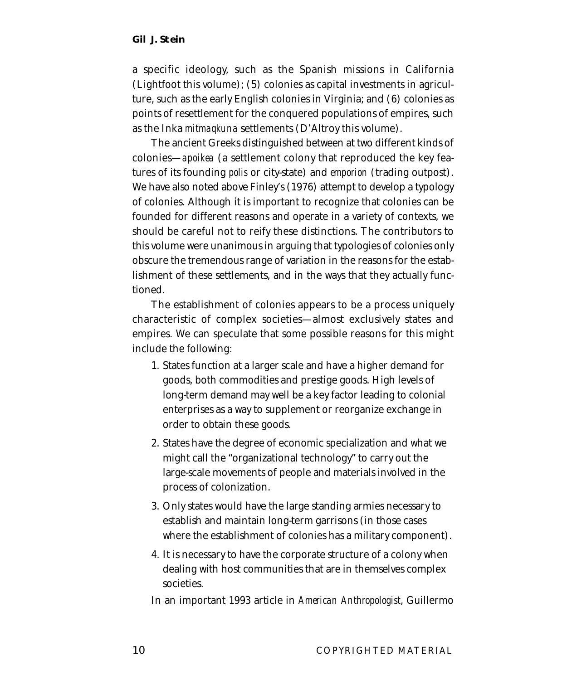a specific ideology, such as the Spanish missions in California (Lightfoot this volume); (5) colonies as capital investments in agriculture, such as the early English colonies in Virginia; and (6) colonies as points of resettlement for the conquered populations of empires, such as the Inka *mitmaqkuna* settlements (D'Altroy this volume).

The ancient Greeks distinguished between at two different kinds of colonies—*apoikea* (a settlement colony that reproduced the key features of its founding *polis* or city-state) and *emporion* (trading outpost). We have also noted above Finley's (1976) attempt to develop a typology of colonies. Although it is important to recognize that colonies can be founded for different reasons and operate in a variety of contexts, we should be careful not to reify these distinctions. The contributors to this volume were unanimous in arguing that typologies of colonies only obscure the tremendous range of variation in the reasons for the establishment of these settlements, and in the ways that they actually functioned.

The establishment of colonies appears to be a process uniquely characteristic of complex societies—almost exclusively states and empires. We can speculate that some possible reasons for this might include the following:

- 1. States function at a larger scale and have a higher demand for goods, both commodities and prestige goods. High levels of long-term demand may well be a key factor leading to colonial enterprises as a way to supplement or reorganize exchange in order to obtain these goods.
- 2. States have the degree of economic specialization and what we might call the "organizational technology" to carry out the large-scale movements of people and materials involved in the process of colonization.
- 3. Only states would have the large standing armies necessary to establish and maintain long-term garrisons (in those cases where the establishment of colonies has a military component).
- 4. It is necessary to have the corporate structure of a colony when dealing with host communities that are in themselves complex societies.

In an important 1993 article in *American Anthropologist*, Guillermo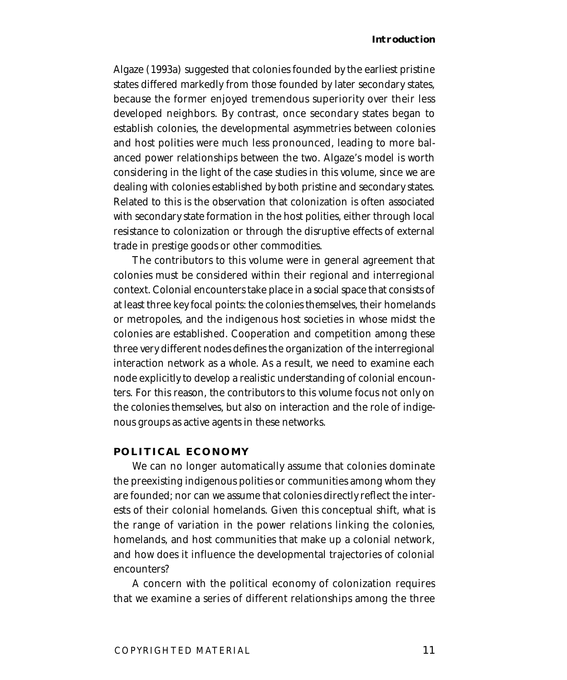#### **Introduction**

Algaze (1993a) suggested that colonies founded by the earliest pristine states differed markedly from those founded by later secondary states, because the former enjoyed tremendous superiority over their less developed neighbors. By contrast, once secondary states began to establish colonies, the developmental asymmetries between colonies and host polities were much less pronounced, leading to more balanced power relationships between the two. Algaze's model is worth considering in the light of the case studies in this volume, since we are dealing with colonies established by both pristine and secondary states. Related to this is the observation that colonization is often associated with secondary state formation in the host polities, either through local resistance to colonization or through the disruptive effects of external trade in prestige goods or other commodities.

The contributors to this volume were in general agreement that colonies must be considered within their regional and interregional context. Colonial encounters take place in a social space that consists of at least three key focal points: the colonies themselves, their homelands or metropoles, and the indigenous host societies in whose midst the colonies are established. Cooperation and competition among these three very different nodes defines the organization of the interregional interaction network as a whole. As a result, we need to examine each node explicitly to develop a realistic understanding of colonial encounters. For this reason, the contributors to this volume focus not only on the colonies themselves, but also on interaction and the role of indigenous groups as active agents in these networks.

#### **POLITICAL ECONOMY**

We can no longer automatically assume that colonies dominate the preexisting indigenous polities or communities among whom they are founded; nor can we assume that colonies directly reflect the interests of their colonial homelands. Given this conceptual shift, what is the range of variation in the power relations linking the colonies, homelands, and host communities that make up a colonial network, and how does it influence the developmental trajectories of colonial encounters?

A concern with the political economy of colonization requires that we examine a series of different relationships among the three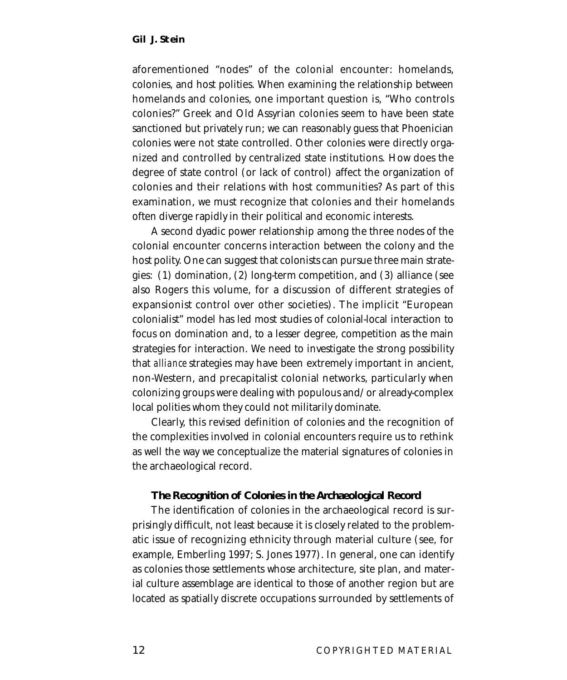aforementioned "nodes" of the colonial encounter: homelands, colonies, and host polities. When examining the relationship between homelands and colonies, one important question is, "Who controls colonies?" Greek and Old Assyrian colonies seem to have been state sanctioned but privately run; we can reasonably guess that Phoenician colonies were not state controlled. Other colonies were directly organized and controlled by centralized state institutions. How does the degree of state control (or lack of control) affect the organization of colonies and their relations with host communities? As part of this examination, we must recognize that colonies and their homelands often diverge rapidly in their political and economic interests.

A second dyadic power relationship among the three nodes of the colonial encounter concerns interaction between the colony and the host polity. One can suggest that colonists can pursue three main strategies: (1) domination, (2) long-term competition, and (3) alliance (see also Rogers this volume, for a discussion of different strategies of expansionist control over other societies). The implicit "European colonialist" model has led most studies of colonial-local interaction to focus on domination and, to a lesser degree, competition as the main strategies for interaction. We need to investigate the strong possibility that *alliance* strategies may have been extremely important in ancient, non-Western, and precapitalist colonial networks, particularly when colonizing groups were dealing with populous and/or already-complex local polities whom they could not militarily dominate.

Clearly, this revised definition of colonies and the recognition of the complexities involved in colonial encounters require us to rethink as well the way we conceptualize the material signatures of colonies in the archaeological record.

#### **The Recognition of Colonies in the Archaeological Record**

The identification of colonies in the archaeological record is surprisingly difficult, not least because it is closely related to the problematic issue of recognizing ethnicity through material culture (see, for example, Emberling 1997; S. Jones 1977). In general, one can identify as colonies those settlements whose architecture, site plan, and material culture assemblage are identical to those of another region but are located as spatially discrete occupations surrounded by settlements of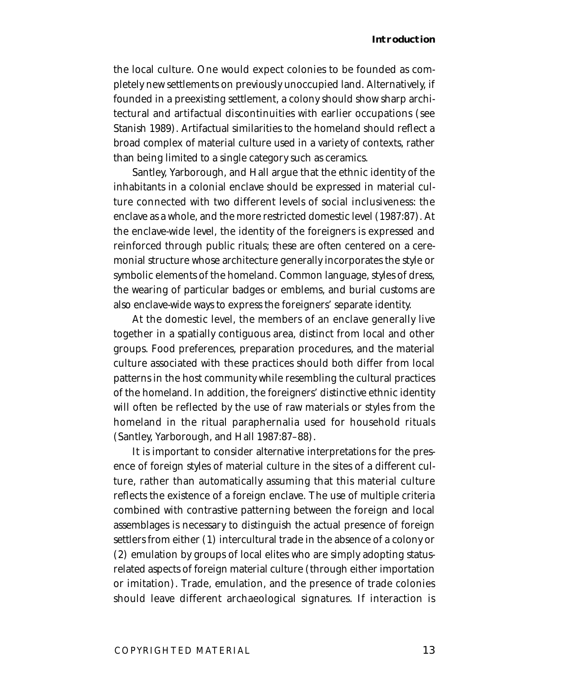#### **Introduction**

the local culture. One would expect colonies to be founded as completely new settlements on previously unoccupied land. Alternatively, if founded in a preexisting settlement, a colony should show sharp architectural and artifactual discontinuities with earlier occupations (see Stanish 1989). Artifactual similarities to the homeland should reflect a broad complex of material culture used in a variety of contexts, rather than being limited to a single category such as ceramics.

Santley, Yarborough, and Hall argue that the ethnic identity of the inhabitants in a colonial enclave should be expressed in material culture connected with two different levels of social inclusiveness: the enclave as a whole, and the more restricted domestic level (1987:87). At the enclave-wide level, the identity of the foreigners is expressed and reinforced through public rituals; these are often centered on a ceremonial structure whose architecture generally incorporates the style or symbolic elements of the homeland. Common language, styles of dress, the wearing of particular badges or emblems, and burial customs are also enclave-wide ways to express the foreigners' separate identity.

At the domestic level, the members of an enclave generally live together in a spatially contiguous area, distinct from local and other groups. Food preferences, preparation procedures, and the material culture associated with these practices should both differ from local patterns in the host community while resembling the cultural practices of the homeland. In addition, the foreigners' distinctive ethnic identity will often be reflected by the use of raw materials or styles from the homeland in the ritual paraphernalia used for household rituals (Santley, Yarborough, and Hall 1987:87–88).

It is important to consider alternative interpretations for the presence of foreign styles of material culture in the sites of a different culture, rather than automatically assuming that this material culture reflects the existence of a foreign enclave. The use of multiple criteria combined with contrastive patterning between the foreign and local assemblages is necessary to distinguish the actual presence of foreign settlers from either (1) intercultural trade in the absence of a colony or (2) emulation by groups of local elites who are simply adopting statusrelated aspects of foreign material culture (through either importation or imitation). Trade, emulation, and the presence of trade colonies should leave different archaeological signatures. If interaction is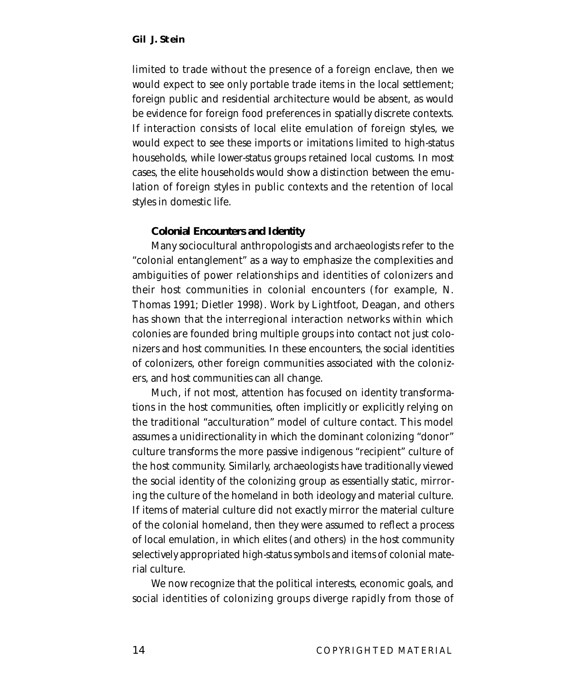limited to trade without the presence of a foreign enclave, then we would expect to see only portable trade items in the local settlement; foreign public and residential architecture would be absent, as would be evidence for foreign food preferences in spatially discrete contexts. If interaction consists of local elite emulation of foreign styles, we would expect to see these imports or imitations limited to high-status households, while lower-status groups retained local customs. In most cases, the elite households would show a distinction between the emulation of foreign styles in public contexts and the retention of local styles in domestic life.

#### **Colonial Encounters and Identity**

Many sociocultural anthropologists and archaeologists refer to the "colonial entanglement" as a way to emphasize the complexities and ambiguities of power relationships and identities of colonizers and their host communities in colonial encounters (for example, N. Thomas 1991; Dietler 1998). Work by Lightfoot, Deagan, and others has shown that the interregional interaction networks within which colonies are founded bring multiple groups into contact not just colonizers and host communities. In these encounters, the social identities of colonizers, other foreign communities associated with the colonizers, and host communities can all change.

Much, if not most, attention has focused on identity transformations in the host communities, often implicitly or explicitly relying on the traditional "acculturation" model of culture contact. This model assumes a unidirectionality in which the dominant colonizing "donor" culture transforms the more passive indigenous "recipient" culture of the host community. Similarly, archaeologists have traditionally viewed the social identity of the colonizing group as essentially static, mirroring the culture of the homeland in both ideology and material culture. If items of material culture did not exactly mirror the material culture of the colonial homeland, then they were assumed to reflect a process of local emulation, in which elites (and others) in the host community selectively appropriated high-status symbols and items of colonial material culture.

We now recognize that the political interests, economic goals, and social identities of colonizing groups diverge rapidly from those of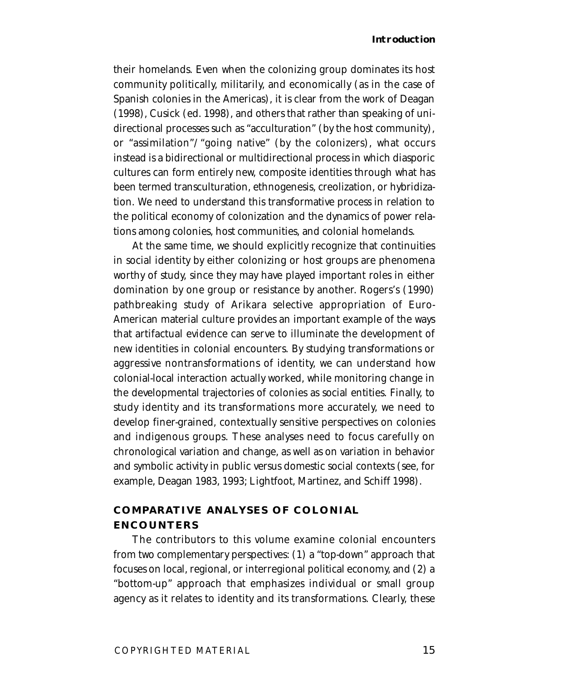#### **Introduction**

their homelands. Even when the colonizing group dominates its host community politically, militarily, and economically (as in the case of Spanish colonies in the Americas), it is clear from the work of Deagan (1998), Cusick (ed. 1998), and others that rather than speaking of unidirectional processes such as "acculturation" (by the host community), or "assimilation"/"going native" (by the colonizers), what occurs instead is a bidirectional or multidirectional process in which diasporic cultures can form entirely new, composite identities through what has been termed transculturation, ethnogenesis, creolization, or hybridization. We need to understand this transformative process in relation to the political economy of colonization and the dynamics of power relations among colonies, host communities, and colonial homelands.

At the same time, we should explicitly recognize that continuities in social identity by either colonizing or host groups are phenomena worthy of study, since they may have played important roles in either domination by one group or resistance by another. Rogers's (1990) pathbreaking study of Arikara selective appropriation of Euro-American material culture provides an important example of the ways that artifactual evidence can serve to illuminate the development of new identities in colonial encounters. By studying transformations or aggressive nontransformations of identity, we can understand how colonial-local interaction actually worked, while monitoring change in the developmental trajectories of colonies as social entities. Finally, to study identity and its transformations more accurately, we need to develop finer-grained, contextually sensitive perspectives on colonies and indigenous groups. These analyses need to focus carefully on chronological variation and change, as well as on variation in behavior and symbolic activity in public versus domestic social contexts (see, for example, Deagan 1983, 1993; Lightfoot, Martinez, and Schiff 1998).

## **COMPARATIVE ANALYSES OF COLONIAL ENCOUNTERS**

The contributors to this volume examine colonial encounters from two complementary perspectives: (1) a "top-down" approach that focuses on local, regional, or interregional political economy, and (2) a "bottom-up" approach that emphasizes individual or small group agency as it relates to identity and its transformations. Clearly, these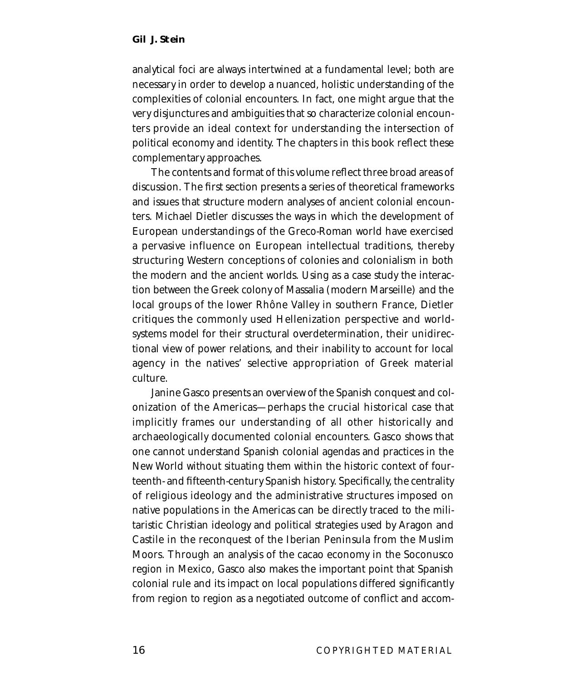analytical foci are always intertwined at a fundamental level; both are necessary in order to develop a nuanced, holistic understanding of the complexities of colonial encounters. In fact, one might argue that the very disjunctures and ambiguities that so characterize colonial encounters provide an ideal context for understanding the intersection of political economy and identity. The chapters in this book reflect these complementary approaches.

The contents and format of this volume reflect three broad areas of discussion. The first section presents a series of theoretical frameworks and issues that structure modern analyses of ancient colonial encounters. Michael Dietler discusses the ways in which the development of European understandings of the Greco-Roman world have exercised a pervasive influence on European intellectual traditions, thereby structuring Western conceptions of colonies and colonialism in both the modern and the ancient worlds. Using as a case study the interaction between the Greek colony of Massalia (modern Marseille) and the local groups of the lower Rhône Valley in southern France, Dietler critiques the commonly used Hellenization perspective and worldsystems model for their structural overdetermination, their unidirectional view of power relations, and their inability to account for local agency in the natives' selective appropriation of Greek material culture.

Janine Gasco presents an overview of the Spanish conquest and colonization of the Americas—perhaps the crucial historical case that implicitly frames our understanding of all other historically and archaeologically documented colonial encounters. Gasco shows that one cannot understand Spanish colonial agendas and practices in the New World without situating them within the historic context of fourteenth- and fifteenth-century Spanish history. Specifically, the centrality of religious ideology and the administrative structures imposed on native populations in the Americas can be directly traced to the militaristic Christian ideology and political strategies used by Aragon and Castile in the reconquest of the Iberian Peninsula from the Muslim Moors. Through an analysis of the cacao economy in the Soconusco region in Mexico, Gasco also makes the important point that Spanish colonial rule and its impact on local populations differed significantly from region to region as a negotiated outcome of conflict and accom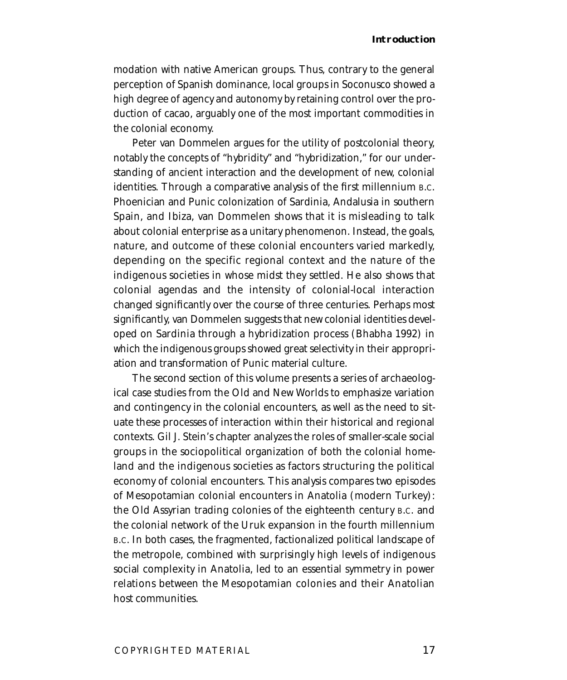modation with native American groups. Thus, contrary to the general perception of Spanish dominance, local groups in Soconusco showed a high degree of agency and autonomy by retaining control over the production of cacao, arguably one of the most important commodities in the colonial economy.

Peter van Dommelen argues for the utility of postcolonial theory, notably the concepts of "hybridity" and "hybridization," for our understanding of ancient interaction and the development of new, colonial identities. Through a comparative analysis of the first millennium B.C. Phoenician and Punic colonization of Sardinia, Andalusia in southern Spain, and Ibiza, van Dommelen shows that it is misleading to talk about colonial enterprise as a unitary phenomenon. Instead, the goals, nature, and outcome of these colonial encounters varied markedly, depending on the specific regional context and the nature of the indigenous societies in whose midst they settled. He also shows that colonial agendas and the intensity of colonial-local interaction changed significantly over the course of three centuries. Perhaps most significantly, van Dommelen suggests that new colonial identities developed on Sardinia through a hybridization process (Bhabha 1992) in which the indigenous groups showed great selectivity in their appropriation and transformation of Punic material culture.

The second section of this volume presents a series of archaeological case studies from the Old and New Worlds to emphasize variation and contingency in the colonial encounters, as well as the need to situate these processes of interaction within their historical and regional contexts. Gil J. Stein's chapter analyzes the roles of smaller-scale social groups in the sociopolitical organization of both the colonial homeland and the indigenous societies as factors structuring the political economy of colonial encounters. This analysis compares two episodes of Mesopotamian colonial encounters in Anatolia (modern Turkey): the Old Assyrian trading colonies of the eighteenth century B.C. and the colonial network of the Uruk expansion in the fourth millennium B.C. In both cases, the fragmented, factionalized political landscape of the metropole, combined with surprisingly high levels of indigenous social complexity in Anatolia, led to an essential symmetry in power relations between the Mesopotamian colonies and their Anatolian host communities.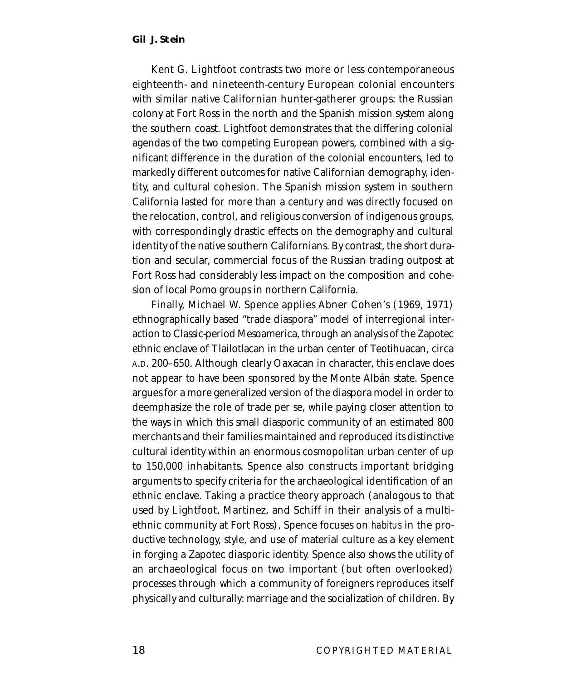Kent G. Lightfoot contrasts two more or less contemporaneous eighteenth- and nineteenth-century European colonial encounters with similar native Californian hunter-gatherer groups: the Russian colony at Fort Ross in the north and the Spanish mission system along the southern coast. Lightfoot demonstrates that the differing colonial agendas of the two competing European powers, combined with a significant difference in the duration of the colonial encounters, led to markedly different outcomes for native Californian demography, identity, and cultural cohesion. The Spanish mission system in southern California lasted for more than a century and was directly focused on the relocation, control, and religious conversion of indigenous groups, with correspondingly drastic effects on the demography and cultural identity of the native southern Californians. By contrast, the short duration and secular, commercial focus of the Russian trading outpost at Fort Ross had considerably less impact on the composition and cohesion of local Pomo groups in northern California.

Finally, Michael W. Spence applies Abner Cohen's (1969, 1971) ethnographically based "trade diaspora" model of interregional interaction to Classic-period Mesoamerica, through an analysis of the Zapotec ethnic enclave of Tlailotlacan in the urban center of Teotihuacan, circa A.D. 200–650. Although clearly Oaxacan in character, this enclave does not appear to have been sponsored by the Monte Albán state. Spence argues for a more generalized version of the diaspora model in order to deemphasize the role of trade per se, while paying closer attention to the ways in which this small diasporic community of an estimated 800 merchants and their families maintained and reproduced its distinctive cultural identity within an enormous cosmopolitan urban center of up to 150,000 inhabitants. Spence also constructs important bridging arguments to specify criteria for the archaeological identification of an ethnic enclave. Taking a practice theory approach (analogous to that used by Lightfoot, Martinez, and Schiff in their analysis of a multiethnic community at Fort Ross), Spence focuses on *habitus* in the productive technology, style, and use of material culture as a key element in forging a Zapotec diasporic identity. Spence also shows the utility of an archaeological focus on two important (but often overlooked) processes through which a community of foreigners reproduces itself physically and culturally: marriage and the socialization of children. By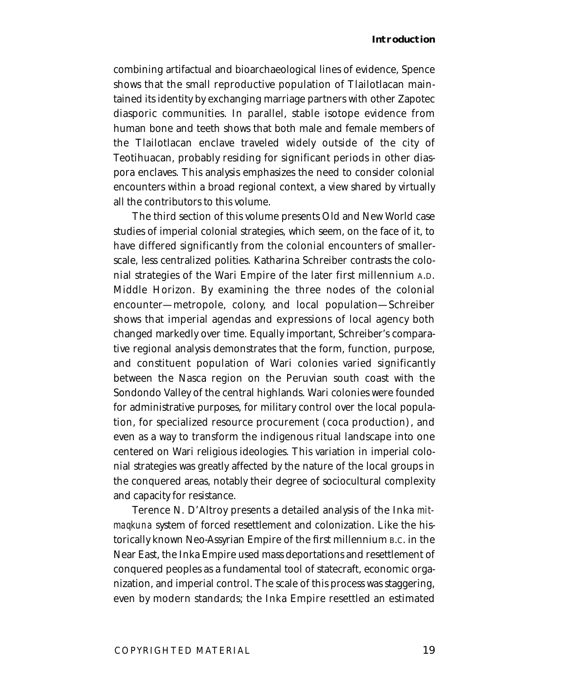#### **Introduction**

combining artifactual and bioarchaeological lines of evidence, Spence shows that the small reproductive population of Tlailotlacan maintained its identity by exchanging marriage partners with other Zapotec diasporic communities. In parallel, stable isotope evidence from human bone and teeth shows that both male and female members of the Tlailotlacan enclave traveled widely outside of the city of Teotihuacan, probably residing for significant periods in other diaspora enclaves. This analysis emphasizes the need to consider colonial encounters within a broad regional context, a view shared by virtually all the contributors to this volume.

The third section of this volume presents Old and New World case studies of imperial colonial strategies, which seem, on the face of it, to have differed significantly from the colonial encounters of smallerscale, less centralized polities. Katharina Schreiber contrasts the colonial strategies of the Wari Empire of the later first millennium A.D. Middle Horizon. By examining the three nodes of the colonial encounter—metropole, colony, and local population—Schreiber shows that imperial agendas and expressions of local agency both changed markedly over time. Equally important, Schreiber's comparative regional analysis demonstrates that the form, function, purpose, and constituent population of Wari colonies varied significantly between the Nasca region on the Peruvian south coast with the Sondondo Valley of the central highlands. Wari colonies were founded for administrative purposes, for military control over the local population, for specialized resource procurement (coca production), and even as a way to transform the indigenous ritual landscape into one centered on Wari religious ideologies. This variation in imperial colonial strategies was greatly affected by the nature of the local groups in the conquered areas, notably their degree of sociocultural complexity and capacity for resistance.

Terence N. D'Altroy presents a detailed analysis of the Inka *mitmaqkuna* system of forced resettlement and colonization. Like the historically known Neo-Assyrian Empire of the first millennium B.C. in the Near East, the Inka Empire used mass deportations and resettlement of conquered peoples as a fundamental tool of statecraft, economic organization, and imperial control. The scale of this process was staggering, even by modern standards; the Inka Empire resettled an estimated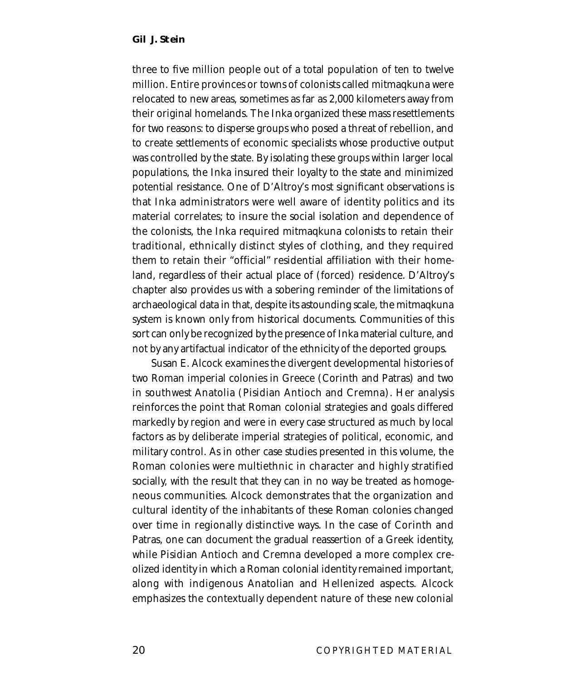three to five million people out of a total population of ten to twelve million. Entire provinces or towns of colonists called mitmaqkuna were relocated to new areas, sometimes as far as 2,000 kilometers away from their original homelands. The Inka organized these mass resettlements for two reasons: to disperse groups who posed a threat of rebellion, and to create settlements of economic specialists whose productive output was controlled by the state. By isolating these groups within larger local populations, the Inka insured their loyalty to the state and minimized potential resistance. One of D'Altroy's most significant observations is that Inka administrators were well aware of identity politics and its material correlates; to insure the social isolation and dependence of the colonists, the Inka required mitmaqkuna colonists to retain their traditional, ethnically distinct styles of clothing, and they required them to retain their "official" residential affiliation with their homeland, regardless of their actual place of (forced) residence. D'Altroy's chapter also provides us with a sobering reminder of the limitations of archaeological data in that, despite its astounding scale, the mitmaqkuna system is known only from historical documents. Communities of this sort can only be recognized by the presence of Inka material culture, and not by any artifactual indicator of the ethnicity of the deported groups.

Susan E. Alcock examines the divergent developmental histories of two Roman imperial colonies in Greece (Corinth and Patras) and two in southwest Anatolia (Pisidian Antioch and Cremna). Her analysis reinforces the point that Roman colonial strategies and goals differed markedly by region and were in every case structured as much by local factors as by deliberate imperial strategies of political, economic, and military control. As in other case studies presented in this volume, the Roman colonies were multiethnic in character and highly stratified socially, with the result that they can in no way be treated as homogeneous communities. Alcock demonstrates that the organization and cultural identity of the inhabitants of these Roman colonies changed over time in regionally distinctive ways. In the case of Corinth and Patras, one can document the gradual reassertion of a Greek identity, while Pisidian Antioch and Cremna developed a more complex creolized identity in which a Roman colonial identity remained important, along with indigenous Anatolian and Hellenized aspects. Alcock emphasizes the contextually dependent nature of these new colonial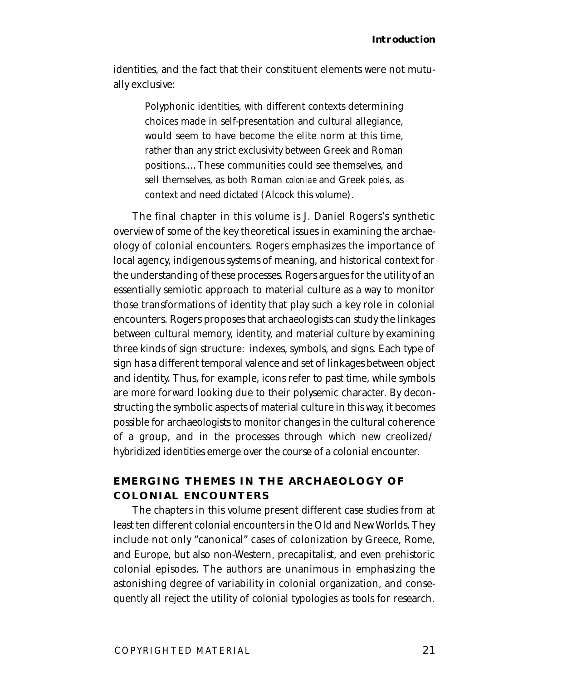identities, and the fact that their constituent elements were not mutually exclusive:

> Polyphonic identities, with different contexts determining choices made in self-presentation and cultural allegiance, would seem to have become the elite norm at this time, rather than any strict exclusivity between Greek and Roman positions.…These communities could see themselves, and sell themselves, as both Roman *coloniae* and Greek *poleis*, as context and need dictated (Alcock this volume).

The final chapter in this volume is J. Daniel Rogers's synthetic overview of some of the key theoretical issues in examining the archaeology of colonial encounters. Rogers emphasizes the importance of local agency, indigenous systems of meaning, and historical context for the understanding of these processes. Rogers argues for the utility of an essentially semiotic approach to material culture as a way to monitor those transformations of identity that play such a key role in colonial encounters. Rogers proposes that archaeologists can study the linkages between cultural memory, identity, and material culture by examining three kinds of sign structure: indexes, symbols, and signs. Each type of sign has a different temporal valence and set of linkages between object and identity. Thus, for example, icons refer to past time, while symbols are more forward looking due to their polysemic character. By deconstructing the symbolic aspects of material culture in this way, it becomes possible for archaeologists to monitor changes in the cultural coherence of a group, and in the processes through which new creolized/ hybridized identities emerge over the course of a colonial encounter.

## **EMERGING THEMES IN THE ARCHAEOLOGY OF COLONIAL ENCOUNTERS**

The chapters in this volume present different case studies from at least ten different colonial encounters in the Old and New Worlds. They include not only "canonical" cases of colonization by Greece, Rome, and Europe, but also non-Western, precapitalist, and even prehistoric colonial episodes. The authors are unanimous in emphasizing the astonishing degree of variability in colonial organization, and consequently all reject the utility of colonial typologies as tools for research.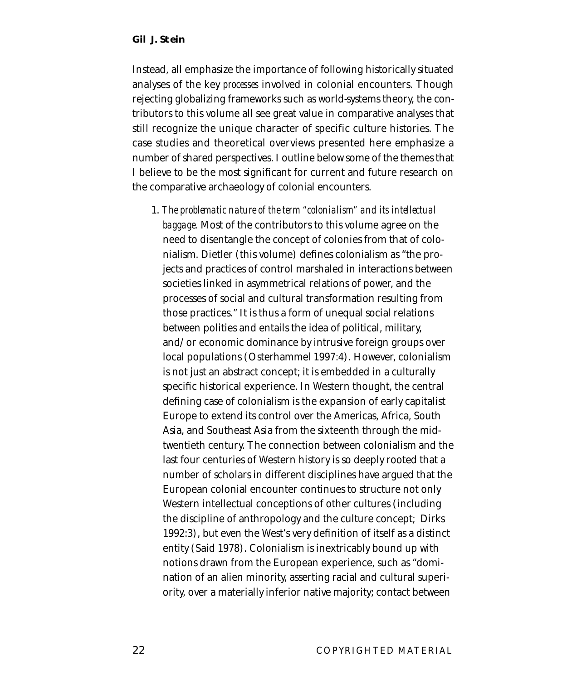Instead, all emphasize the importance of following historically situated analyses of the key *processes* involved in colonial encounters. Though rejecting globalizing frameworks such as world-systems theory, the contributors to this volume all see great value in comparative analyses that still recognize the unique character of specific culture histories. The case studies and theoretical overviews presented here emphasize a number of shared perspectives. I outline below some of the themes that I believe to be the most significant for current and future research on the comparative archaeology of colonial encounters.

1. *The problematic nature of the term "colonialism" and its intellectual baggage.* Most of the contributors to this volume agree on the need to disentangle the concept of colonies from that of colonialism. Dietler (this volume) defines colonialism as "the projects and practices of control marshaled in interactions between societies linked in asymmetrical relations of power, and the processes of social and cultural transformation resulting from those practices." It is thus a form of unequal social relations between polities and entails the idea of political, military, and/or economic dominance by intrusive foreign groups over local populations (Osterhammel 1997:4). However, colonialism is not just an abstract concept; it is embedded in a culturally specific historical experience. In Western thought, the central defining case of colonialism is the expansion of early capitalist Europe to extend its control over the Americas, Africa, South Asia, and Southeast Asia from the sixteenth through the midtwentieth century. The connection between colonialism and the last four centuries of Western history is so deeply rooted that a number of scholars in different disciplines have argued that the European colonial encounter continues to structure not only Western intellectual conceptions of other cultures (including the discipline of anthropology and the culture concept; Dirks 1992:3), but even the West's very definition of itself as a distinct entity (Said 1978). Colonialism is inextricably bound up with notions drawn from the European experience, such as "domination of an alien minority, asserting racial and cultural superiority, over a materially inferior native majority; contact between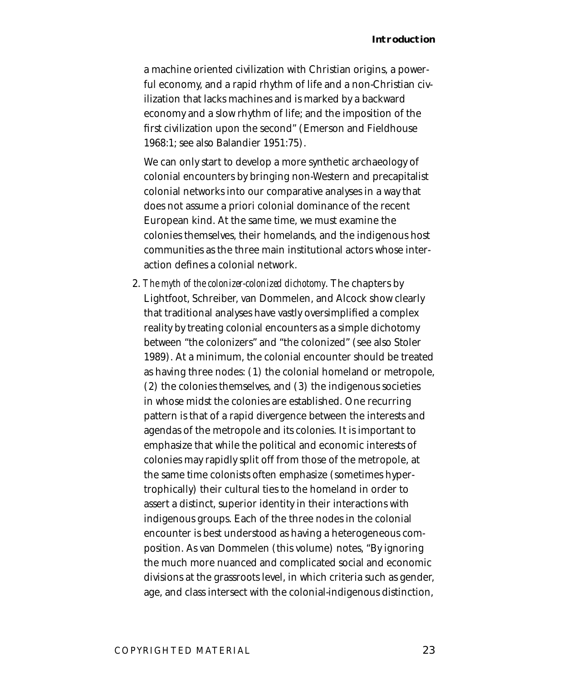a machine oriented civilization with Christian origins, a powerful economy, and a rapid rhythm of life and a non-Christian civilization that lacks machines and is marked by a backward economy and a slow rhythm of life; and the imposition of the first civilization upon the second" (Emerson and Fieldhouse 1968:1; see also Balandier 1951:75).

We can only start to develop a more synthetic archaeology of colonial encounters by bringing non-Western and precapitalist colonial networks into our comparative analyses in a way that does not assume a priori colonial dominance of the recent European kind. At the same time, we must examine the colonies themselves, their homelands, and the indigenous host communities as the three main institutional actors whose interaction defines a colonial network.

2. *The myth of the colonizer-colonized dichotomy*. The chapters by Lightfoot, Schreiber, van Dommelen, and Alcock show clearly that traditional analyses have vastly oversimplified a complex reality by treating colonial encounters as a simple dichotomy between "the colonizers" and "the colonized" (see also Stoler 1989). At a minimum, the colonial encounter should be treated as having three nodes: (1) the colonial homeland or metropole, (2) the colonies themselves, and (3) the indigenous societies in whose midst the colonies are established. One recurring pattern is that of a rapid divergence between the interests and agendas of the metropole and its colonies. It is important to emphasize that while the political and economic interests of colonies may rapidly split off from those of the metropole, at the same time colonists often emphasize (sometimes hypertrophically) their cultural ties to the homeland in order to assert a distinct, superior identity in their interactions with indigenous groups. Each of the three nodes in the colonial encounter is best understood as having a heterogeneous composition. As van Dommelen (this volume) notes, "By ignoring the much more nuanced and complicated social and economic divisions at the grassroots level, in which criteria such as gender, age, and class intersect with the colonial-indigenous distinction,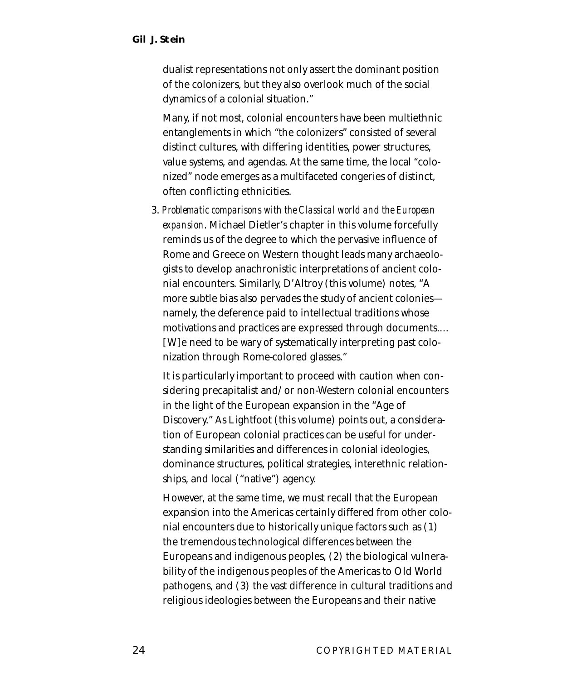dualist representations not only assert the dominant position of the colonizers, but they also overlook much of the social dynamics of a colonial situation."

Many, if not most, colonial encounters have been multiethnic entanglements in which "the colonizers" consisted of several distinct cultures, with differing identities, power structures, value systems, and agendas. At the same time, the local "colonized" node emerges as a multifaceted congeries of distinct, often conflicting ethnicities.

3. *Problematic comparisons with the Classical world and the European expansion*. Michael Dietler's chapter in this volume forcefully reminds us of the degree to which the pervasive influence of Rome and Greece on Western thought leads many archaeologists to develop anachronistic interpretations of ancient colonial encounters. Similarly, D'Altroy (this volume) notes, "A more subtle bias also pervades the study of ancient colonies namely, the deference paid to intellectual traditions whose motivations and practices are expressed through documents.… [W]e need to be wary of systematically interpreting past colonization through Rome-colored glasses."

It is particularly important to proceed with caution when considering precapitalist and/or non-Western colonial encounters in the light of the European expansion in the "Age of Discovery." As Lightfoot (this volume) points out, a consideration of European colonial practices can be useful for understanding similarities and differences in colonial ideologies, dominance structures, political strategies, interethnic relationships, and local ("native") agency.

However, at the same time, we must recall that the European expansion into the Americas certainly differed from other colonial encounters due to historically unique factors such as (1) the tremendous technological differences between the Europeans and indigenous peoples, (2) the biological vulnerability of the indigenous peoples of the Americas to Old World pathogens, and (3) the vast difference in cultural traditions and religious ideologies between the Europeans and their native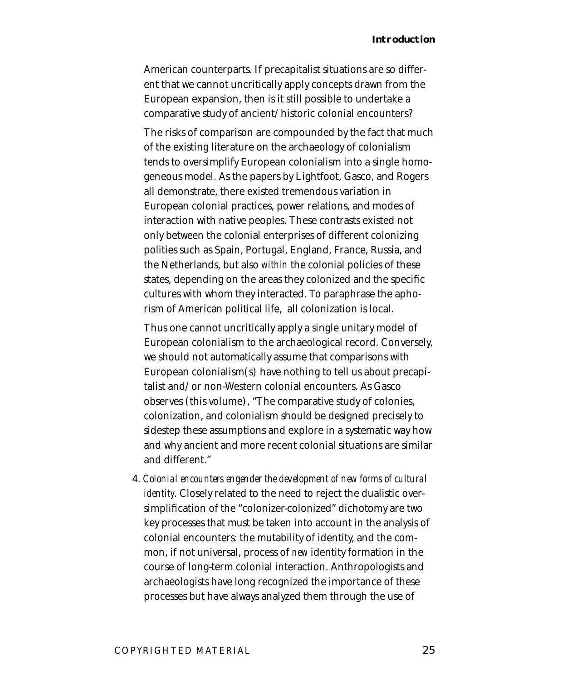American counterparts. If precapitalist situations are so different that we cannot uncritically apply concepts drawn from the European expansion, then is it still possible to undertake a comparative study of ancient/historic colonial encounters?

The risks of comparison are compounded by the fact that much of the existing literature on the archaeology of colonialism tends to oversimplify European colonialism into a single homogeneous model. As the papers by Lightfoot, Gasco, and Rogers all demonstrate, there existed tremendous variation in European colonial practices, power relations, and modes of interaction with native peoples. These contrasts existed not only between the colonial enterprises of different colonizing polities such as Spain, Portugal, England, France, Russia, and the Netherlands, but also *within* the colonial policies of these states, depending on the areas they colonized and the specific cultures with whom they interacted. To paraphrase the aphorism of American political life, all colonization is local.

Thus one cannot uncritically apply a single unitary model of European colonialism to the archaeological record. Conversely, we should not automatically assume that comparisons with European colonialism(s) have nothing to tell us about precapitalist and/or non-Western colonial encounters. As Gasco observes (this volume), "The comparative study of colonies, colonization, and colonialism should be designed precisely to sidestep these assumptions and explore in a systematic way how and why ancient and more recent colonial situations are similar and different."

4. *Colonial encounters engender the development of new forms of cultural identity*. Closely related to the need to reject the dualistic oversimplification of the "colonizer-colonized" dichotomy are two key processes that must be taken into account in the analysis of colonial encounters: the mutability of identity, and the common, if not universal, process of *new* identity formation in the course of long-term colonial interaction. Anthropologists and archaeologists have long recognized the importance of these processes but have always analyzed them through the use of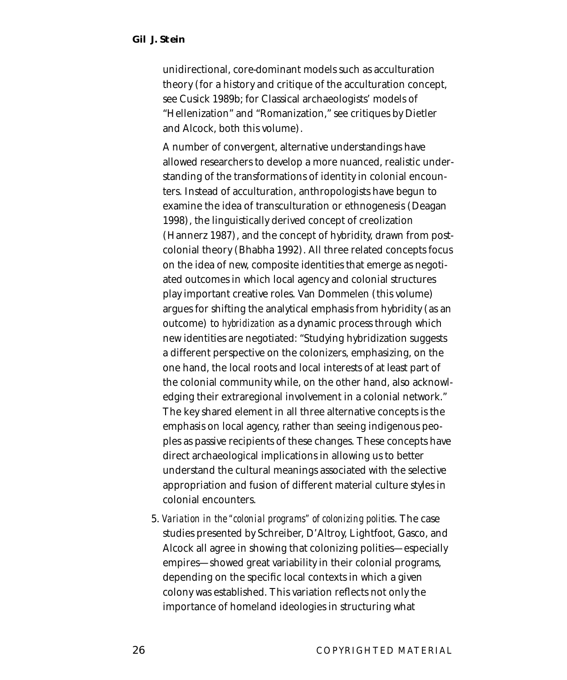unidirectional, core-dominant models such as acculturation theory (for a history and critique of the acculturation concept, see Cusick 1989b; for Classical archaeologists' models of "Hellenization" and "Romanization," see critiques by Dietler and Alcock, both this volume).

A number of convergent, alternative understandings have allowed researchers to develop a more nuanced, realistic understanding of the transformations of identity in colonial encounters. Instead of acculturation, anthropologists have begun to examine the idea of transculturation or ethnogenesis (Deagan 1998), the linguistically derived concept of creolization (Hannerz 1987), and the concept of hybridity, drawn from postcolonial theory (Bhabha 1992). All three related concepts focus on the idea of new, composite identities that emerge as negotiated outcomes in which local agency and colonial structures play important creative roles. Van Dommelen (this volume) argues for shifting the analytical emphasis from hybridity (as an outcome) to *hybridization* as a dynamic process through which new identities are negotiated: "Studying hybridization suggests a different perspective on the colonizers, emphasizing, on the one hand, the local roots and local interests of at least part of the colonial community while, on the other hand, also acknowledging their extraregional involvement in a colonial network." The key shared element in all three alternative concepts is the emphasis on local agency, rather than seeing indigenous peoples as passive recipients of these changes. These concepts have direct archaeological implications in allowing us to better understand the cultural meanings associated with the selective appropriation and fusion of different material culture styles in colonial encounters.

5. *Variation in the "colonial programs" of colonizing polities*. The case studies presented by Schreiber, D'Altroy, Lightfoot, Gasco, and Alcock all agree in showing that colonizing polities—especially empires—showed great variability in their colonial programs, depending on the specific local contexts in which a given colony was established. This variation reflects not only the importance of homeland ideologies in structuring what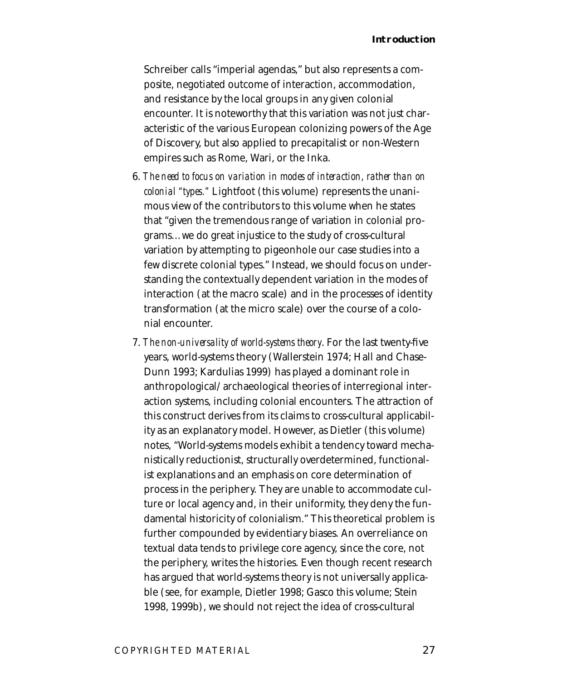Schreiber calls "imperial agendas," but also represents a composite, negotiated outcome of interaction, accommodation, and resistance by the local groups in any given colonial encounter. It is noteworthy that this variation was not just characteristic of the various European colonizing powers of the Age of Discovery, but also applied to precapitalist or non-Western empires such as Rome, Wari, or the Inka.

- 6. *The need to focus on variation in modes of interaction, rather than on colonial "types."* Lightfoot (this volume) represents the unanimous view of the contributors to this volume when he states that "given the tremendous range of variation in colonial programs…we do great injustice to the study of cross-cultural variation by attempting to pigeonhole our case studies into a few discrete colonial types." Instead, we should focus on understanding the contextually dependent variation in the modes of interaction (at the macro scale) and in the processes of identity transformation (at the micro scale) over the course of a colonial encounter.
- 7. *The non-universality of world-systems theory*. For the last twenty-five years, world-systems theory (Wallerstein 1974; Hall and Chase-Dunn 1993; Kardulias 1999) has played a dominant role in anthropological/archaeological theories of interregional interaction systems, including colonial encounters. The attraction of this construct derives from its claims to cross-cultural applicability as an explanatory model. However, as Dietler (this volume) notes, "World-systems models exhibit a tendency toward mechanistically reductionist, structurally overdetermined, functionalist explanations and an emphasis on core determination of process in the periphery. They are unable to accommodate culture or local agency and, in their uniformity, they deny the fundamental historicity of colonialism." This theoretical problem is further compounded by evidentiary biases. An overreliance on textual data tends to privilege core agency, since the core, not the periphery, writes the histories. Even though recent research has argued that world-systems theory is not universally applicable (see, for example, Dietler 1998; Gasco this volume; Stein 1998, 1999b), we should not reject the idea of cross-cultural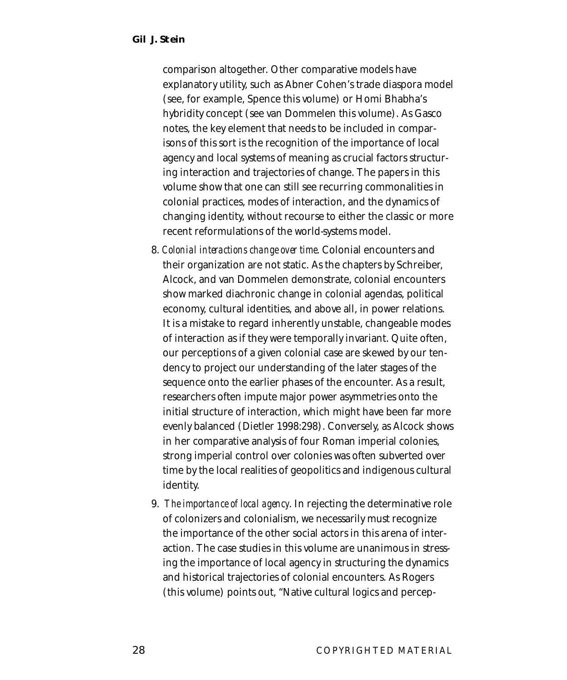comparison altogether. Other comparative models have explanatory utility, such as Abner Cohen's trade diaspora model (see, for example, Spence this volume) or Homi Bhabha's hybridity concept (see van Dommelen this volume). As Gasco notes, the key element that needs to be included in comparisons of this sort is the recognition of the importance of local agency and local systems of meaning as crucial factors structuring interaction and trajectories of change. The papers in this volume show that one can still see recurring commonalities in colonial practices, modes of interaction, and the dynamics of changing identity, without recourse to either the classic or more recent reformulations of the world-systems model.

- 8. *Colonial interactions change over time*. Colonial encounters and their organization are not static. As the chapters by Schreiber, Alcock, and van Dommelen demonstrate, colonial encounters show marked diachronic change in colonial agendas, political economy, cultural identities, and above all, in power relations. It is a mistake to regard inherently unstable, changeable modes of interaction as if they were temporally invariant. Quite often, our perceptions of a given colonial case are skewed by our tendency to project our understanding of the later stages of the sequence onto the earlier phases of the encounter. As a result, researchers often impute major power asymmetries onto the initial structure of interaction, which might have been far more evenly balanced (Dietler 1998:298). Conversely, as Alcock shows in her comparative analysis of four Roman imperial colonies, strong imperial control over colonies was often subverted over time by the local realities of geopolitics and indigenous cultural identity.
- 9. *The importance of local agency*. In rejecting the determinative role of colonizers and colonialism, we necessarily must recognize the importance of the other social actors in this arena of interaction. The case studies in this volume are unanimous in stressing the importance of local agency in structuring the dynamics and historical trajectories of colonial encounters. As Rogers (this volume) points out, "Native cultural logics and percep-